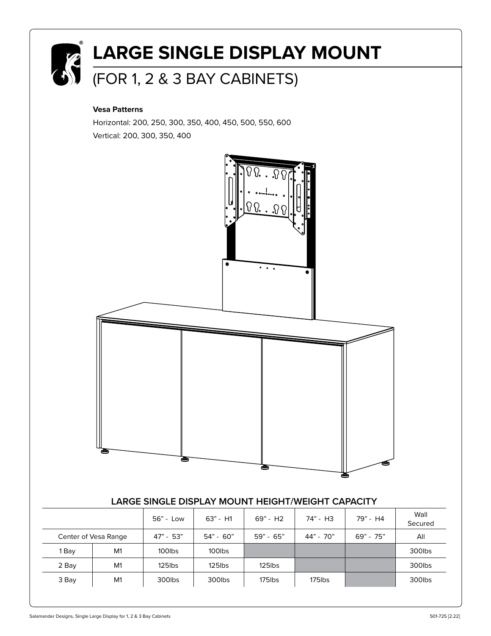

#### **Vesa Patterns**

Horizontal: 200, 250, 300, 350, 400, 450, 500, 550, 600 Vertical: 200, 300, 350, 400



### **LARGE SINGLE DISPLAY MOUNT HEIGHT/WEIGHT CAPACITY**

|                      |    | 56" - Low   | $63" - H1$  | 69" - H2    | 74" - H3  | 79" - H4    | Wall<br>Secured |
|----------------------|----|-------------|-------------|-------------|-----------|-------------|-----------------|
| Center of Vesa Range |    | $47" - 53"$ | $54" - 60"$ | $59" - 65"$ | 44" - 70" | $69" - 75"$ | All             |
| Bay                  | M1 | 100lbs      | 100lbs      |             |           |             | 300lbs          |
| 2 Bay                | M1 | $125$ lbs   | $125$ lbs   | $125$ lbs   |           |             | 300lbs          |
| 3 Bay                | M1 | 300lbs      | 300lbs      | 175lbs      | 175lbs    |             | 300lbs          |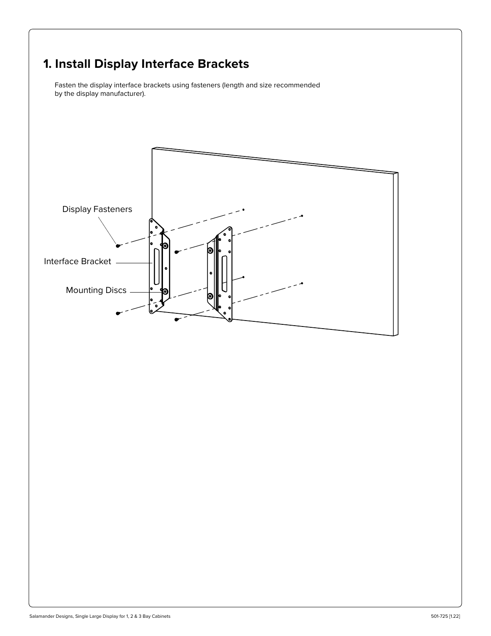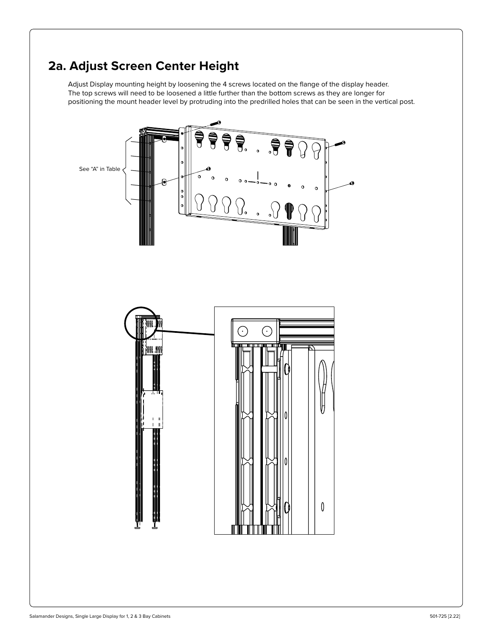# **2a. Adjust Screen Center Height**

Adjust Display mounting height by loosening the 4 screws located on the flange of the display header. The top screws will need to be loosened a little further than the bottom screws as they are longer for positioning the mount header level by protruding into the predrilled holes that can be seen in the vertical post.